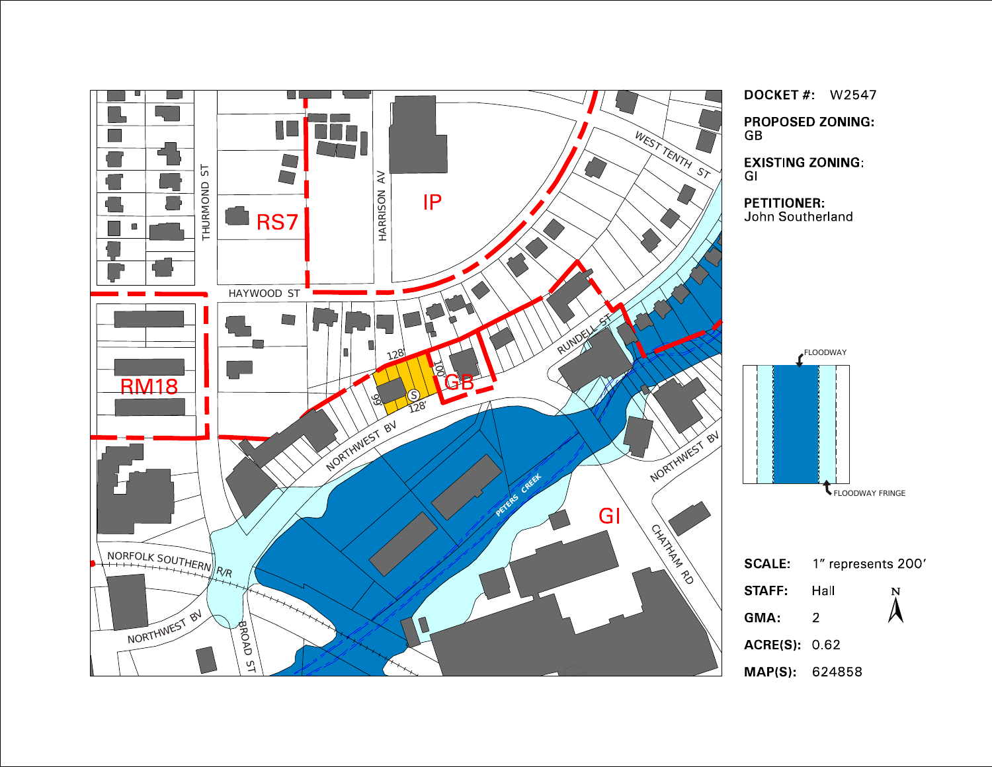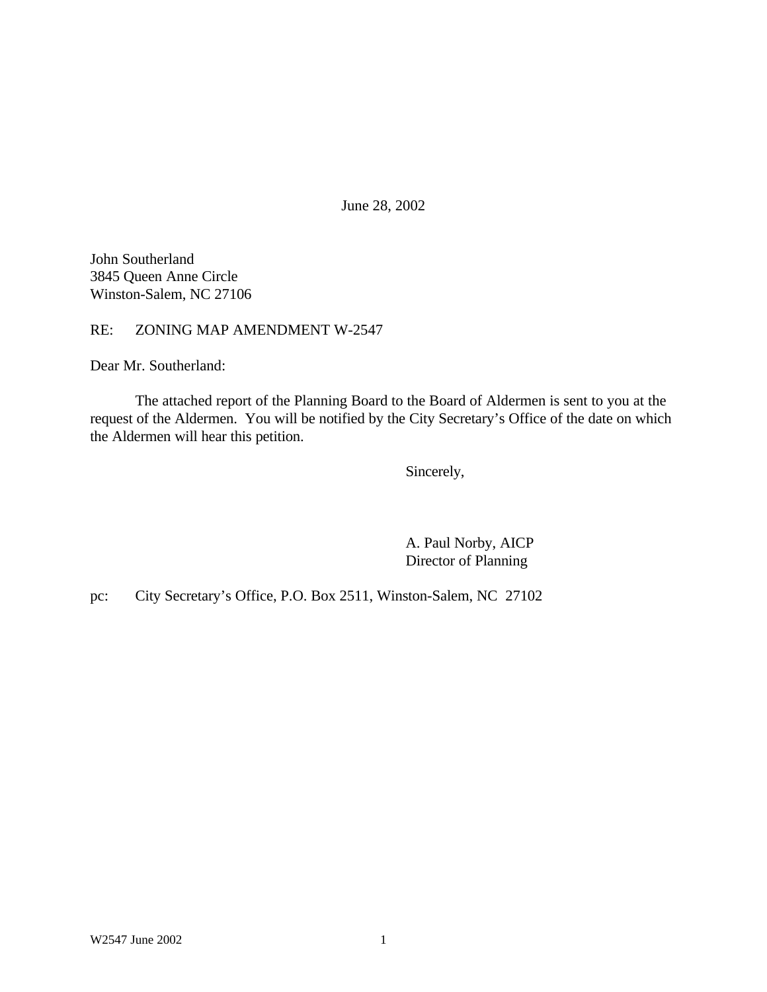June 28, 2002

John Southerland 3845 Queen Anne Circle Winston-Salem, NC 27106

RE: ZONING MAP AMENDMENT W-2547

Dear Mr. Southerland:

The attached report of the Planning Board to the Board of Aldermen is sent to you at the request of the Aldermen. You will be notified by the City Secretary's Office of the date on which the Aldermen will hear this petition.

Sincerely,

A. Paul Norby, AICP Director of Planning

pc: City Secretary's Office, P.O. Box 2511, Winston-Salem, NC 27102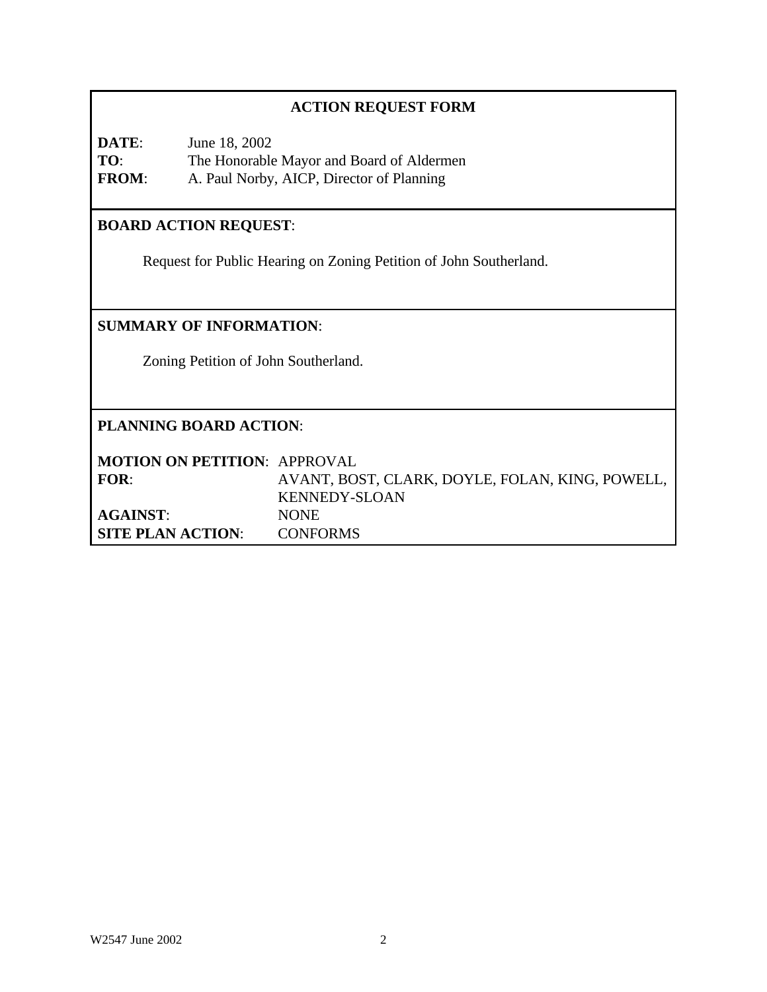## **ACTION REQUEST FORM**

**DATE**: June 18, 2002 **TO**: The Honorable Mayor and Board of Aldermen **FROM**: A. Paul Norby, AICP, Director of Planning

# **BOARD ACTION REQUEST**:

Request for Public Hearing on Zoning Petition of John Southerland.

## **SUMMARY OF INFORMATION**:

Zoning Petition of John Southerland.

### **PLANNING BOARD ACTION**:

| <b>MOTION ON PETITION: APPROVAL</b> |                                                 |
|-------------------------------------|-------------------------------------------------|
| FOR:                                | AVANT, BOST, CLARK, DOYLE, FOLAN, KING, POWELL, |
|                                     | KENNEDY-SLOAN                                   |
| <b>AGAINST:</b>                     | NONE.                                           |
| <b>SITE PLAN ACTION:</b>            | <b>CONFORMS</b>                                 |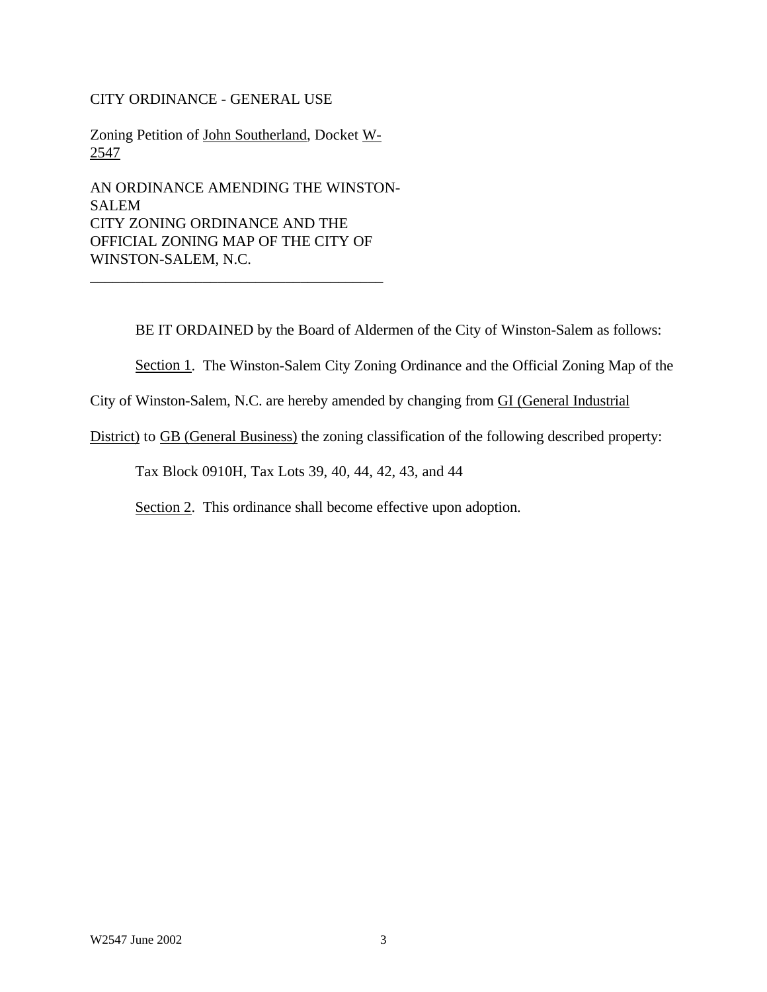#### CITY ORDINANCE - GENERAL USE

Zoning Petition of John Southerland, Docket W-2547

AN ORDINANCE AMENDING THE WINSTON-SALEM CITY ZONING ORDINANCE AND THE OFFICIAL ZONING MAP OF THE CITY OF WINSTON-SALEM, N.C.

\_\_\_\_\_\_\_\_\_\_\_\_\_\_\_\_\_\_\_\_\_\_\_\_\_\_\_\_\_\_\_\_\_\_\_\_\_\_\_

BE IT ORDAINED by the Board of Aldermen of the City of Winston-Salem as follows:

Section 1. The Winston-Salem City Zoning Ordinance and the Official Zoning Map of the

City of Winston-Salem, N.C. are hereby amended by changing from GI (General Industrial

District) to GB (General Business) the zoning classification of the following described property:

Tax Block 0910H, Tax Lots 39, 40, 44, 42, 43, and 44

Section 2. This ordinance shall become effective upon adoption.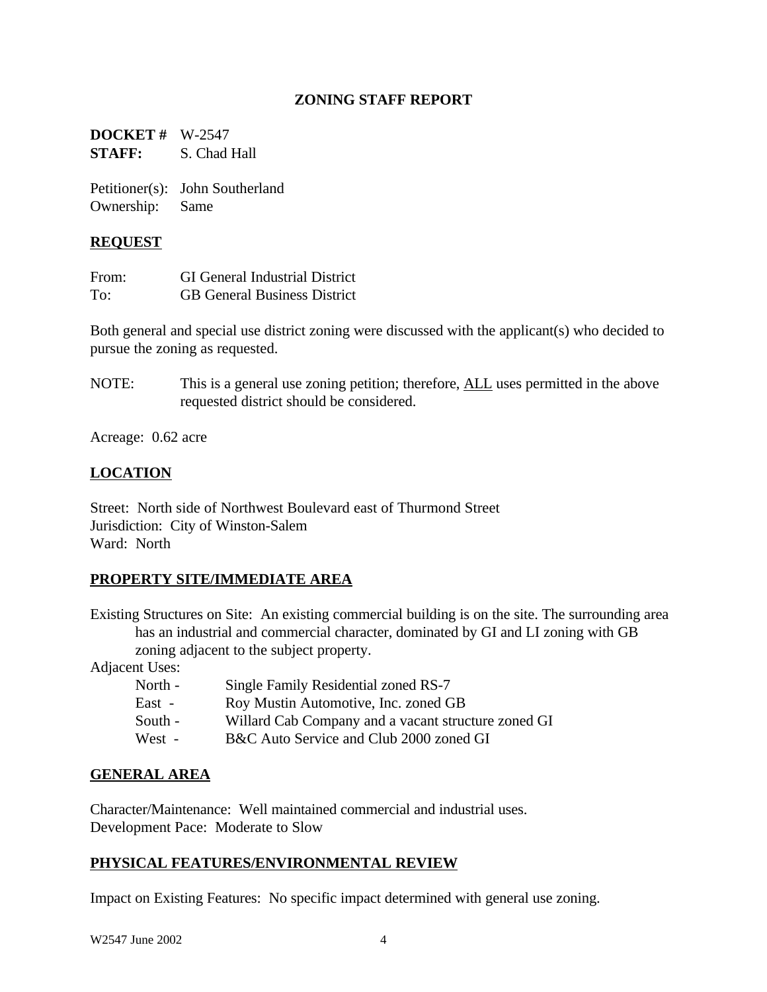### **ZONING STAFF REPORT**

**DOCKET #** W-2547 **STAFF:** S. Chad Hall

Petitioner(s): John Southerland Ownership: Same

#### **REQUEST**

| From: | <b>GI</b> General Industrial District |
|-------|---------------------------------------|
| To:   | <b>GB</b> General Business District   |

Both general and special use district zoning were discussed with the applicant(s) who decided to pursue the zoning as requested.

NOTE: This is a general use zoning petition; therefore, ALL uses permitted in the above requested district should be considered.

Acreage: 0.62 acre

## **LOCATION**

Street: North side of Northwest Boulevard east of Thurmond Street Jurisdiction: City of Winston-Salem Ward: North

## **PROPERTY SITE/IMMEDIATE AREA**

Existing Structures on Site: An existing commercial building is on the site. The surrounding area has an industrial and commercial character, dominated by GI and LI zoning with GB zoning adjacent to the subject property.

Adjacent Uses:

| North - | Single Family Residential zoned RS-7                |
|---------|-----------------------------------------------------|
| East -  | Roy Mustin Automotive, Inc. zoned GB                |
| South - | Willard Cab Company and a vacant structure zoned GI |
| West -  | B&C Auto Service and Club 2000 zoned GI             |

#### **GENERAL AREA**

Character/Maintenance: Well maintained commercial and industrial uses. Development Pace: Moderate to Slow

#### **PHYSICAL FEATURES/ENVIRONMENTAL REVIEW**

Impact on Existing Features: No specific impact determined with general use zoning.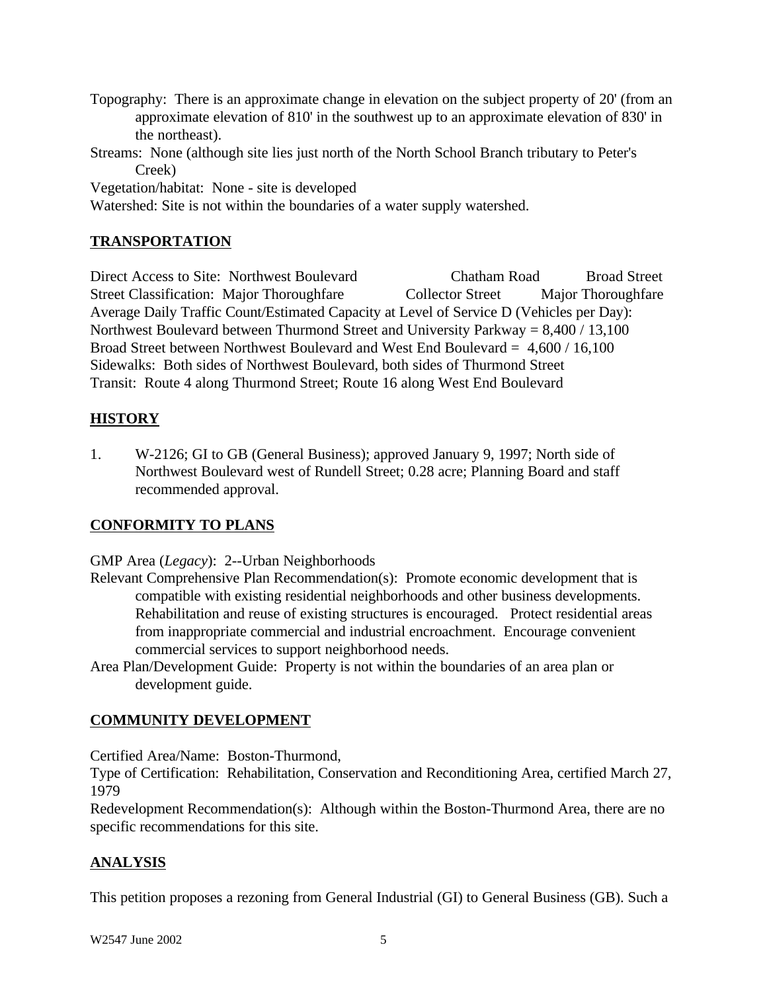- Topography: There is an approximate change in elevation on the subject property of 20' (from an approximate elevation of 810' in the southwest up to an approximate elevation of 830' in the northeast).
- Streams: None (although site lies just north of the North School Branch tributary to Peter's Creek)

Vegetation/habitat: None - site is developed

Watershed: Site is not within the boundaries of a water supply watershed.

## **TRANSPORTATION**

Direct Access to Site: Northwest Boulevard Chatham Road Broad Street Street Classification: Major Thoroughfare Collector Street Major Thoroughfare Average Daily Traffic Count/Estimated Capacity at Level of Service D (Vehicles per Day): Northwest Boulevard between Thurmond Street and University Parkway = 8,400 / 13,100 Broad Street between Northwest Boulevard and West End Boulevard = 4,600 / 16,100 Sidewalks: Both sides of Northwest Boulevard, both sides of Thurmond Street Transit: Route 4 along Thurmond Street; Route 16 along West End Boulevard

## **HISTORY**

1. W-2126; GI to GB (General Business); approved January 9, 1997; North side of Northwest Boulevard west of Rundell Street; 0.28 acre; Planning Board and staff recommended approval.

## **CONFORMITY TO PLANS**

GMP Area (*Legacy*): 2--Urban Neighborhoods

- Relevant Comprehensive Plan Recommendation(s): Promote economic development that is compatible with existing residential neighborhoods and other business developments. Rehabilitation and reuse of existing structures is encouraged. Protect residential areas from inappropriate commercial and industrial encroachment. Encourage convenient commercial services to support neighborhood needs.
- Area Plan/Development Guide: Property is not within the boundaries of an area plan or development guide.

## **COMMUNITY DEVELOPMENT**

Certified Area/Name: Boston-Thurmond,

Type of Certification: Rehabilitation, Conservation and Reconditioning Area, certified March 27, 1979

Redevelopment Recommendation(s): Although within the Boston-Thurmond Area, there are no specific recommendations for this site.

# **ANALYSIS**

This petition proposes a rezoning from General Industrial (GI) to General Business (GB). Such a